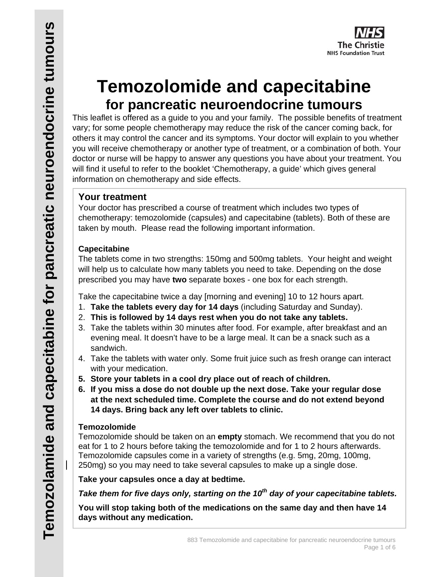

# **Temozolomide and capecitabine for pancreatic neuroendocrine tumours**

This leaflet is offered as a guide to you and your family. The possible benefits of treatment vary; for some people chemotherapy may reduce the risk of the cancer coming back, for others it may control the cancer and its symptoms. Your doctor will explain to you whether you will receive chemotherapy or another type of treatment, or a combination of both. Your doctor or nurse will be happy to answer any questions you have about your treatment. You will find it useful to refer to the booklet 'Chemotherapy, a guide' which gives general information on chemotherapy and side effects.

# **Your treatment**

Your doctor has prescribed a course of treatment which includes two types of chemotherapy: temozolomide (capsules) and capecitabine (tablets). Both of these are taken by mouth. Please read the following important information.

# **Capecitabine**

The tablets come in two strengths: 150mg and 500mg tablets. Your height and weight will help us to calculate how many tablets you need to take. Depending on the dose prescribed you may have **two** separate boxes - one box for each strength.

Take the capecitabine twice a day [morning and evening] 10 to 12 hours apart.

- 1. **Take the tablets every day for 14 days** (including Saturday and Sunday).
- 2. **This is followed by 14 days rest when you do not take any tablets.**
- 3. Take the tablets within 30 minutes after food. For example, after breakfast and an evening meal. It doesn't have to be a large meal. It can be a snack such as a sandwich.
- 4. Take the tablets with water only. Some fruit juice such as fresh orange can interact with your medication.
- **5. Store your tablets in a cool dry place out of reach of children.**
- **6. If you miss a dose do not double up the next dose. Take your regular dose at the next scheduled time. Complete the course and do not extend beyond 14 days. Bring back any left over tablets to clinic.**

# **Temozolomide**

I

Temozolomide should be taken on an **empty** stomach. We recommend that you do not eat for 1 to 2 hours before taking the temozolomide and for 1 to 2 hours afterwards. Temozolomide capsules come in a variety of strengths (e.g. 5mg, 20mg, 100mg, 250mg) so you may need to take several capsules to make up a single dose.

**Take your capsules once a day at bedtime.** 

*Take them for five days only, starting on the 10th day of your capecitabine tablets.*

**You will stop taking both of the medications on the same day and then have 14 days without any medication.**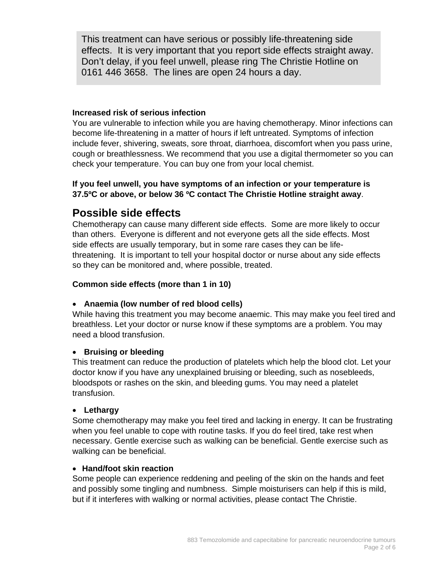This treatment can have serious or possibly life-threatening side effects. It is very important that you report side effects straight away. Don't delay, if you feel unwell, please ring The Christie Hotline on 0161 446 3658. The lines are open 24 hours a day.

#### **Increased risk of serious infection**

You are vulnerable to infection while you are having chemotherapy. Minor infections can become life-threatening in a matter of hours if left untreated. Symptoms of infection include fever, shivering, sweats, sore throat, diarrhoea, discomfort when you pass urine, cough or breathlessness. We recommend that you use a digital thermometer so you can check your temperature. You can buy one from your local chemist.

#### **If you feel unwell, you have symptoms of an infection or your temperature is 37.5ºC or above, or below 36 ºC contact The Christie Hotline straight away**.

# **Possible side effects**

Chemotherapy can cause many different side effects. Some are more likely to occur than others. Everyone is different and not everyone gets all the side effects. Most side effects are usually temporary, but in some rare cases they can be lifethreatening. It is important to tell your hospital doctor or nurse about any side effects so they can be monitored and, where possible, treated.

#### **Common side effects (more than 1 in 10)**

#### **Anaemia (low number of red blood cells)**

While having this treatment you may become anaemic. This may make you feel tired and breathless. Let your doctor or nurse know if these symptoms are a problem. You may need a blood transfusion.

#### **Bruising or bleeding**

This treatment can reduce the production of platelets which help the blood clot. Let your doctor know if you have any unexplained bruising or bleeding, such as nosebleeds, bloodspots or rashes on the skin, and bleeding gums. You may need a platelet transfusion.

#### **Lethargy**

Some chemotherapy may make you feel tired and lacking in energy. It can be frustrating when you feel unable to cope with routine tasks. If you do feel tired, take rest when necessary. Gentle exercise such as walking can be beneficial. Gentle exercise such as walking can be beneficial.

#### **Hand/foot skin reaction**

Some people can experience reddening and peeling of the skin on the hands and feet and possibly some tingling and numbness. Simple moisturisers can help if this is mild, but if it interferes with walking or normal activities, please contact The Christie.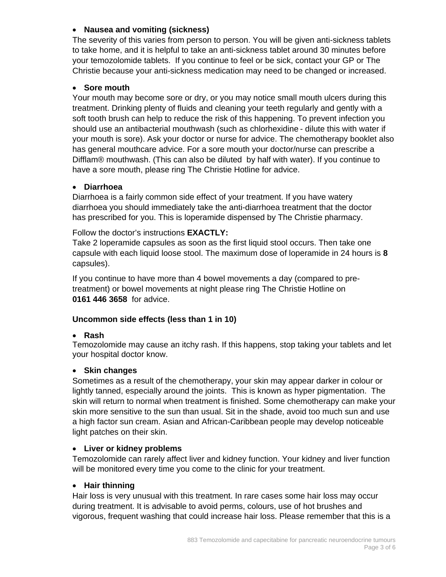#### **Nausea and vomiting (sickness)**

The severity of this varies from person to person. You will be given anti-sickness tablets to take home, and it is helpful to take an anti-sickness tablet around 30 minutes before your temozolomide tablets. If you continue to feel or be sick, contact your GP or The Christie because your anti-sickness medication may need to be changed or increased.

#### **Sore mouth**

Your mouth may become sore or dry, or you may notice small mouth ulcers during this treatment. Drinking plenty of fluids and cleaning your teeth regularly and gently with a soft tooth brush can help to reduce the risk of this happening. To prevent infection you should use an antibacterial mouthwash (such as chlorhexidine - dilute this with water if your mouth is sore). Ask your doctor or nurse for advice. The chemotherapy booklet also has general mouthcare advice. For a sore mouth your doctor/nurse can prescribe a Difflam® mouthwash. (This can also be diluted by half with water). If you continue to have a sore mouth, please ring The Christie Hotline for advice.

#### **Diarrhoea**

Diarrhoea is a fairly common side effect of your treatment. If you have watery diarrhoea you should immediately take the anti-diarrhoea treatment that the doctor has prescribed for you. This is loperamide dispensed by The Christie pharmacy.

Follow the doctor's instructions **EXACTLY:** 

Take 2 loperamide capsules as soon as the first liquid stool occurs. Then take one capsule with each liquid loose stool. The maximum dose of loperamide in 24 hours is **8**  capsules).

If you continue to have more than 4 bowel movements a day (compared to pretreatment) or bowel movements at night please ring The Christie Hotline on **0161 446 3658** for advice.

#### **Uncommon side effects (less than 1 in 10)**

#### **Rash**

Temozolomide may cause an itchy rash. If this happens, stop taking your tablets and let your hospital doctor know.

#### **Skin changes**

Sometimes as a result of the chemotherapy, your skin may appear darker in colour or lightly tanned, especially around the joints. This is known as hyper pigmentation. The skin will return to normal when treatment is finished. Some chemotherapy can make your skin more sensitive to the sun than usual. Sit in the shade, avoid too much sun and use a high factor sun cream. Asian and African-Caribbean people may develop noticeable light patches on their skin.

#### **Liver or kidney problems**

Temozolomide can rarely affect liver and kidney function. Your kidney and liver function will be monitored every time you come to the clinic for your treatment.

#### **Hair thinning**

Hair loss is very unusual with this treatment. In rare cases some hair loss may occur during treatment. It is advisable to avoid perms, colours, use of hot brushes and vigorous, frequent washing that could increase hair loss. Please remember that this is a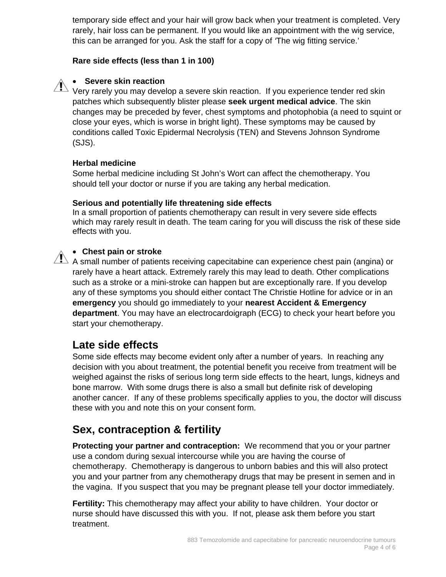temporary side effect and your hair will grow back when your treatment is completed. Very rarely, hair loss can be permanent. If you would like an appointment with the wig service, this can be arranged for you. Ask the staff for a copy of *'*The wig fitting service.'

#### **Rare side effects (less than 1 in 100)**

### **Severe skin reaction**

 $\sum_{k=1}^{\infty}$  very rarely you may develop a severe skin reaction. If you experience tender red skin patches which subsequently blister please **seek urgent medical advice**. The skin changes may be preceded by fever, chest symptoms and photophobia (a need to squint or close your eyes, which is worse in bright light). These symptoms may be caused by conditions called Toxic Epidermal Necrolysis (TEN) and Stevens Johnson Syndrome (SJS).

#### **Herbal medicine**

Some herbal medicine including St John's Wort can affect the chemotherapy. You should tell your doctor or nurse if you are taking any herbal medication.

#### **Serious and potentially life threatening side effects**

In a small proportion of patients chemotherapy can result in very severe side effects which may rarely result in death. The team caring for you will discuss the risk of these side effects with you.

#### **Chest pain or stroke**

 $\overline{\mathbf{A}}$  A small number of patients receiving capecitabine can experience chest pain (angina) or rarely have a heart attack. Extremely rarely this may lead to death. Other complications such as a stroke or a mini-stroke can happen but are exceptionally rare. If you develop any of these symptoms you should either contact The Christie Hotline for advice or in an **emergency** you should go immediately to your **nearest Accident & Emergency department**. You may have an electrocardoigraph (ECG) to check your heart before you start your chemotherapy.

# **Late side effects**

Some side effects may become evident only after a number of years. In reaching any decision with you about treatment, the potential benefit you receive from treatment will be weighed against the risks of serious long term side effects to the heart, lungs, kidneys and bone marrow. With some drugs there is also a small but definite risk of developing another cancer. If any of these problems specifically applies to you, the doctor will discuss these with you and note this on your consent form.

# **Sex, contraception & fertility**

**Protecting your partner and contraception:** We recommend that you or your partner use a condom during sexual intercourse while you are having the course of chemotherapy. Chemotherapy is dangerous to unborn babies and this will also protect you and your partner from any chemotherapy drugs that may be present in semen and in the vagina. If you suspect that you may be pregnant please tell your doctor immediately.

**Fertility:** This chemotherapy may affect your ability to have children. Your doctor or nurse should have discussed this with you. If not, please ask them before you start treatment.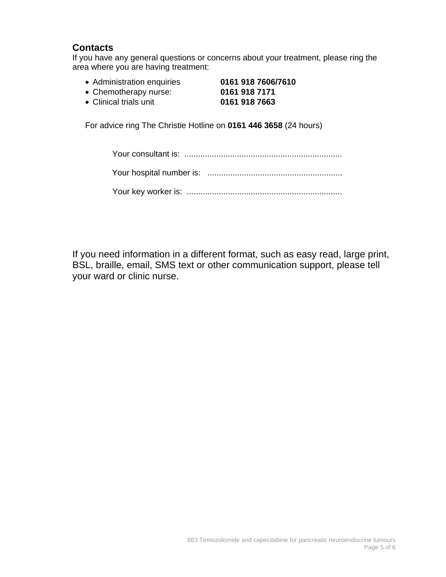# **Contacts**

If you have any general questions or concerns about your treatment, please ring the area where you are having treatment:

- Administration enquiries **0161 918 7606/7610** Chemotherapy nurse: **0161 918 7171**
- 

Clinical trials unit **0161 918 7663**

For advice ring The Christie Hotline on **0161 446 3658** (24 hours)

If you need information in a different format, such as easy read, large print, BSL, braille, email, SMS text or other communication support, please tell your ward or clinic nurse.